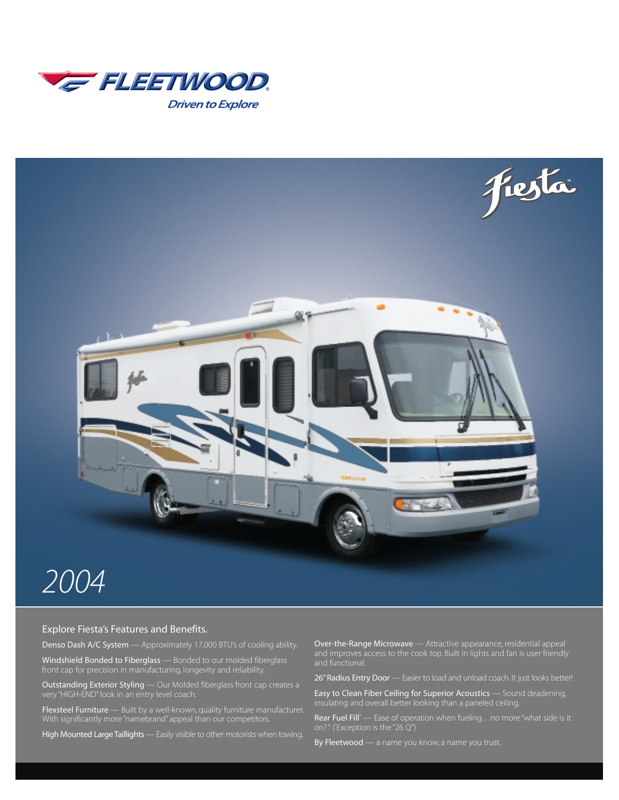



#### Explore Fiesta's Features and Benefits.

Denso Dash A/C System — Approximately 17,000 BTU's of cooling ability.

Windshield Bonded to Fiberglass — Bonded to our molded fiberglass front cap for precision in manufacturing, longevity and reliability.

**Outstanding Exterior Styling** — Our Molded fiberglass front cap creates a very "HIGH-END" look in an entry level coach.

Flexsteel Furniture - Built by a well-known, quality furniture manufacturer. With significantly more "namebrand" appeal than our competitors.

High Mounted Large Taillights - Easily visible to other motorists when towing.

Over-the-Range Microwave — Attractive appearance, residential appeal and improves access to the cook top. Built in lights and fan is user friendly and functional.

26" Radius Entry Door — Easier to load and unload coach. It just looks better!

Easy to Clean Fiber Ceiling for Superior Acoustics — Sound deadening, insulating and overall better looking than a paneled ceiling.

Rear Fuel Fill\* — Ease of operation when fueling...no more "what side is it on?." (\* Exception is the "26 Q")

By Fleetwood — a name you know, a name you trust.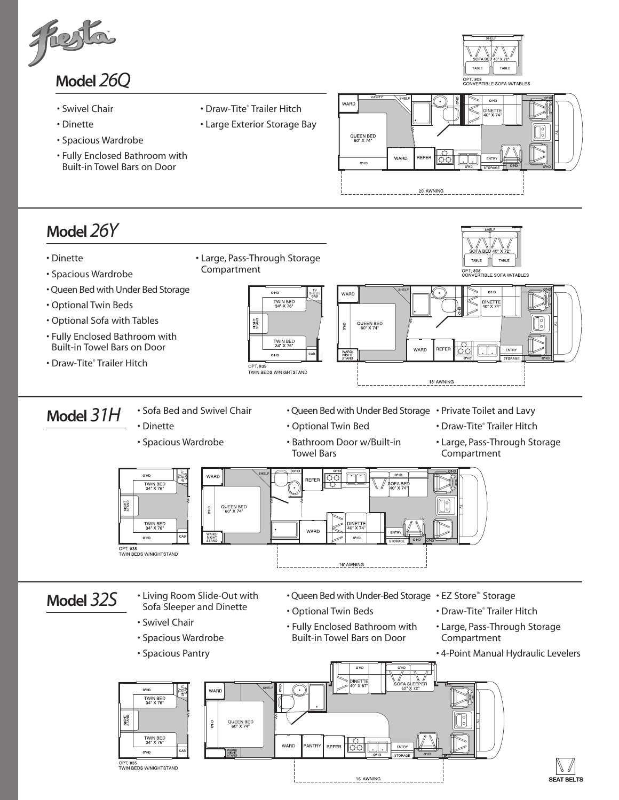

- Swivel Chair
- Dinette
- Spacious Wardrobe
- Fully Enclosed Bathroom with Built-in Towel Bars on Door
- 

• Draw-Tite® Trailer Hitch • Large Exterior Storage Bay





 $- - - -$  16' AWNING

OPT. 835<br>TWIN BEDS W/NIGHTSTAND

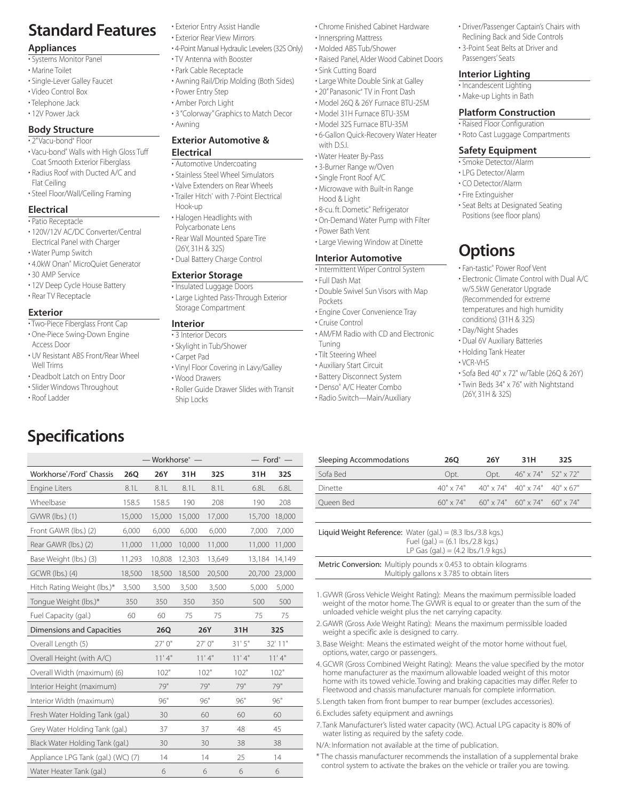# **Standard Features**

#### **Appliances**

- Systems Monitor Panel
- Marine Toilet
- Single-Lever Galley Faucet
- Video Control Box
- Telephone Jack
- 12V Power Jack

#### **Body Structure**

#### • 2"Vacu-bond® Floor

- Vacu-bond® Walls with High Gloss Tuff Coat Smooth Exterior Fiberglass
- Radius Roof with Ducted A/C and Flat Ceiling
- Steel Floor/Wall/Ceiling Framing

#### **Electrical**

- Patio Receptacle
- 120V/12V AC/DC Converter/Central Electrical Panel with Charger
- Water Pump Switch
- 4.0kW Onan® MicroQuiet Generator
- 30 AMP Service
- 12V Deep Cycle House Battery • Rear TV Receptacle
- **Exterior**
- Two-Piece Fiberglass Front Cap
- One-Piece Swing-Down Engine Access Door
- UV Resistant ABS Front/Rear Wheel Well Trims
- Deadbolt Latch on Entry Door

**Specifications**

- Slider Windows Throughout
- Roof Ladder
- Exterior Entry Assist Handle
- Exterior Rear View Mirrors
- 4-Point Manual Hydraulic Levelers (32S Only)
- TV Antenna with Booster
- Park Cable Receptacle
- Awning Rail/Drip Molding (Both Sides) • Power Entry Step
- Amber Porch Light
- 
- 3 "Colorway" Graphics to Match Decor
- Awning

#### **Exterior Automotive & Electrical**

### • Automotive Undercoating

- Stainless Steel Wheel Simulators
- Valve Extenders on Rear Wheels
- Trailer Hitch\* with 7-Point Electrical Hook-up
- Halogen Headlights with Polycarbonate Lens
- Rear Wall Mounted Spare Tire (26Y, 31H & 32S)
- Dual Battery Charge Control

#### **Exterior Storage**

- Insulated Luggage Doors • Large Lighted Pass-Through Exterior Storage Compartment
- **Interior**
- 3 Interior Decors
- Skylight in Tub/Shower
- Carpet Pad

Workhorse® /Ford® Chassis **26Q 26Y 31H 32S 31H 32S** Engine Liters 6.8L 8.1L 8.1L 8.1L 8.1L 6.8L 6.8L Wheelbase 158.5 158.5 190 208 190 208 GVWR (lbs.) (1) 15,000 15,000 15,000 17,000 15,700 18,000 Front GAWR (lbs.) (2) 6,000 6,000 6,000 6,000 7,000 7,000 Rear GAWR (lbs.) (2) 11,000 11,000 10,000 11,000 11,000 11,000 Base Weight (lbs.) (3) 11,293 10,808 12,303 13,649 13,184 14,149 GCWR (lbs.) (4) 18,500 18,500 18,500 20,500 20,700 23,000 Hitch Rating Weight (lbs.)\* 3,500 3,500 3,500 3,500 5,000 5,000 Tongue Weight (lbs.)\* 350 350 350 350 500 500 Fuel Capacity (gal.) 60 60 75 75 75 75 Dimensions and Capacities **26Q 26Y 31H 32S** Overall Length (5) 27' 0" 27' 0" 31' 5" 32' 11" Overall Height (with A/C) 11' 4" 11' 4" 11' 4" 11' 4" Overall Width (maximum) (6) 102" 102" 102" 102" Interior Height (maximum) 79" 79" 79" 79" 79" Interior Width (maximum)  $96"$  96" 96" 96" 96" Fresh Water Holding Tank (gal.) 30 60 60 60 Grey Water Holding Tank (gal.) 37 37 48 45 Black Water Holding Tank (gal.) 30 30 38 38 Appliance LPG Tank (gal.) (WC) (7) 14 14 25 14 Water Heater Tank (gal.) 6 6 6 6

- Vinyl Floor Covering in Lavy/Galley • Wood Drawers
- Roller Guide Drawer Slides with Transit
- Ship Locks

— Workhorse<sup>®</sup> — **— Ford**® —

- Chrome Finished Cabinet Hardware
- Innerspring Mattress
- Molded ABS Tub/Shower
- Raised Panel, Alder Wood Cabinet Doors
- Sink Cutting Board
- Large White Double Sink at Galley
- 20" Panasonic® TV in Front Dash • Model 26Q & 26Y Furnace BTU-25M
- Model 31H Furnace BTU-35M
- Model 32S Furnace BTU-35M
- 6-Gallon Quick-Recovery Water Heater with D.S.I.
- Water Heater By-Pass
- 3-Burner Range w/Oven
- Single Front Roof A/C
- Microwave with Built-in Range Hood & Light
- 8-cu. ft. Dometic® Refrigerator
- On-Demand Water Pump with Filter
- Power Bath Vent
- Large Viewing Window at Dinette

#### **Interior Automotive**

- Intermittent Wiper Control System
- Full Dash Mat
- Double Swivel Sun Visors with Map Pockets
- Engine Cover Convenience Tray
- Cruise Control
- AM/FM Radio with CD and Electronic Tuning
- Tilt Steering Wheel
- Auxiliary Start Circuit
- Battery Disconnect System
- Denso® A/C Heater Combo
- Radio Switch—Main/Auxiliary
- Driver/Passenger Captain's Chairs with
- Reclining Back and Side Controls
- 3-Point Seat Belts at Driver and Passengers' Seats

#### **Interior Lighting**

- Incandescent Lighting
- Make-up Lights in Bath

#### **Platform Construction**

- Raised Floor Configuration
- Roto Cast Luggage Compartments

#### **Safety Equipment**

- Smoke Detector/Alarm
- LPG Detector/Alarm
- CO Detector/Alarm
- Fire Extinguisher
- Seat Belts at Designated Seating Positions (see floor plans)

• Fan-tastic® Power Roof Vent

• Electronic Climate Control with Dual A/C w/5.5kW Generator Upgrade (Recommended for extreme temperatures and high humidity conditions) (31H & 32S) • Day/Night Shades • Dual 6V Auxiliary Batteries • Holding Tank Heater

• Sofa Bed 40" x 72" w/Table (26Q & 26Y) • Twin Beds 34" x 76" with Nightstand

# **Options**

• VCR-VHS

Sleeping Accommodations **26Q 26Y 31H 32S** Sofa Bed Opt. Opt. 46" x 74" 52" x 72" Dinette 40" x 74" 40" x 74" 40" x 74" 40" x 67" Queen Bed 60" x 74" 60" x 74" 60" x 74" 60" x 74" 60" x 74"

> Fuel (gal.) =  $(6.1 \text{ lbs.}/2.8 \text{ kgs.})$ LP Gas (gal.) = (4.2 lbs./1.9 kgs.)

Multiply gallons x 3.785 to obtain liters

1. GVWR (Gross Vehicle Weight Rating): Means the maximum permissible loaded weight of the motor home. The GVWR is equal to or greater than the sum of the

2. GAWR (Gross Axle Weight Rating): Means the maximum permissible loaded

3. Base Weight: Means the estimated weight of the motor home without fuel,

4. GCWR (Gross Combined Weight Rating): Means the value specified by the motor home manufacturer as the maximum allowable loaded weight of this motor home with its towed vehicle. Towing and braking capacities may differ. Refer to Fleetwood and chassis manufacturer manuals for complete information. 5. Length taken from front bumper to rear bumper (excludes accessories).

7.Tank Manufacturer's listed water capacity (WC). Actual LPG capacity is 80% of

\* The chassis manufacturer recommends the installation of a supplemental brake control system to activate the brakes on the vehicle or trailer you are towing.

Liquid Weight Reference: Water (gal.) = (8.3 lbs./3.8 kgs.)

unloaded vehicle weight plus the net carrying capacity.

weight a specific axle is designed to carry.

options, water, cargo or passengers.

6. Excludes safety equipment and awnings

water listing as required by the safety code. N/A: Information not available at the time of publication.

Metric Conversion: Multiply pounds x 0.453 to obtain kilograms

(26Y, 31H & 32S)